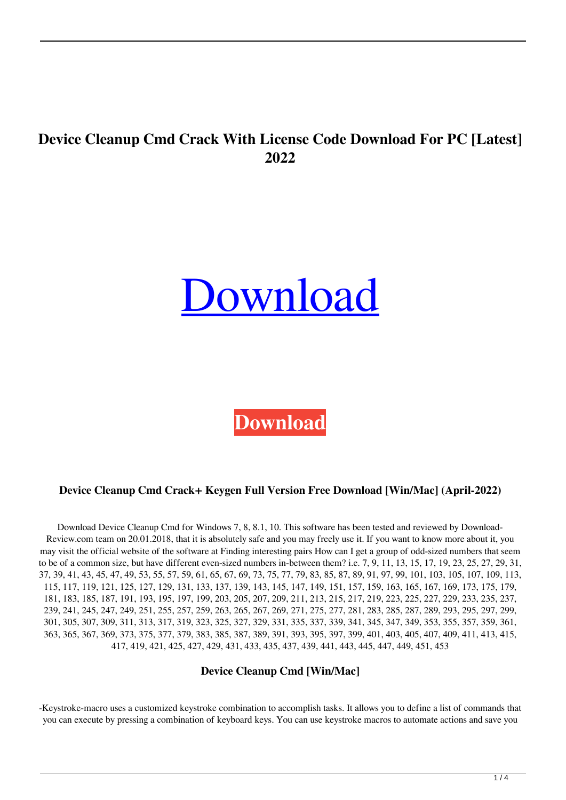# **Device Cleanup Cmd Crack With License Code Download For PC [Latest] 2022**

# [Download](http://evacdir.com/blouses/ZG93bmxvYWR8cUQzTm1reGVYeDhNVFkxTkRRek5qWTFPSHg4TWpVNU1IeDhLRTBwSUZkdmNtUndjbVZ6Y3lCYldFMU1VbEJESUZZeUlGQkVSbDA.benefit?flexicover/easylabel/levys/RGV2aWNlIENsZWFudXAgQ21kRGV=shigeru)

**[Download](http://evacdir.com/blouses/ZG93bmxvYWR8cUQzTm1reGVYeDhNVFkxTkRRek5qWTFPSHg4TWpVNU1IeDhLRTBwSUZkdmNtUndjbVZ6Y3lCYldFMU1VbEJESUZZeUlGQkVSbDA.benefit?flexicover/easylabel/levys/RGV2aWNlIENsZWFudXAgQ21kRGV=shigeru)**

#### **Device Cleanup Cmd Crack+ Keygen Full Version Free Download [Win/Mac] (April-2022)**

Download Device Cleanup Cmd for Windows 7, 8, 8.1, 10. This software has been tested and reviewed by Download-Review.com team on 20.01.2018, that it is absolutely safe and you may freely use it. If you want to know more about it, you may visit the official website of the software at Finding interesting pairs How can I get a group of odd-sized numbers that seem to be of a common size, but have different even-sized numbers in-between them? i.e. 7, 9, 11, 13, 15, 17, 19, 23, 25, 27, 29, 31, 37, 39, 41, 43, 45, 47, 49, 53, 55, 57, 59, 61, 65, 67, 69, 73, 75, 77, 79, 83, 85, 87, 89, 91, 97, 99, 101, 103, 105, 107, 109, 113, 115, 117, 119, 121, 125, 127, 129, 131, 133, 137, 139, 143, 145, 147, 149, 151, 157, 159, 163, 165, 167, 169, 173, 175, 179, 181, 183, 185, 187, 191, 193, 195, 197, 199, 203, 205, 207, 209, 211, 213, 215, 217, 219, 223, 225, 227, 229, 233, 235, 237, 239, 241, 245, 247, 249, 251, 255, 257, 259, 263, 265, 267, 269, 271, 275, 277, 281, 283, 285, 287, 289, 293, 295, 297, 299, 301, 305, 307, 309, 311, 313, 317, 319, 323, 325, 327, 329, 331, 335, 337, 339, 341, 345, 347, 349, 353, 355, 357, 359, 361, 363, 365, 367, 369, 373, 375, 377, 379, 383, 385, 387, 389, 391, 393, 395, 397, 399, 401, 403, 405, 407, 409, 411, 413, 415, 417, 419, 421, 425, 427, 429, 431, 433, 435, 437, 439, 441, 443, 445, 447, 449, 451, 453

#### **Device Cleanup Cmd [Win/Mac]**

-Keystroke-macro uses a customized keystroke combination to accomplish tasks. It allows you to define a list of commands that you can execute by pressing a combination of keyboard keys. You can use keystroke macros to automate actions and save you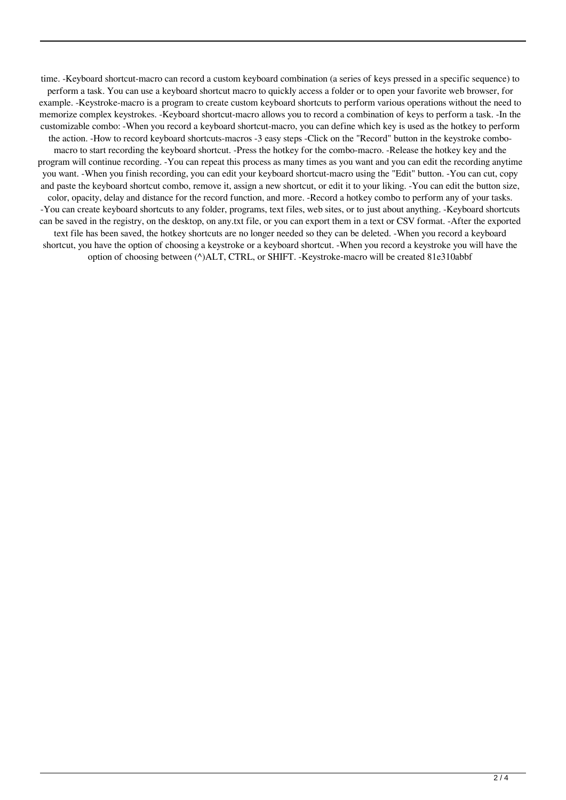time. -Keyboard shortcut-macro can record a custom keyboard combination (a series of keys pressed in a specific sequence) to perform a task. You can use a keyboard shortcut macro to quickly access a folder or to open your favorite web browser, for example. -Keystroke-macro is a program to create custom keyboard shortcuts to perform various operations without the need to memorize complex keystrokes. -Keyboard shortcut-macro allows you to record a combination of keys to perform a task. -In the customizable combo: -When you record a keyboard shortcut-macro, you can define which key is used as the hotkey to perform the action. -How to record keyboard shortcuts-macros -3 easy steps -Click on the "Record" button in the keystroke combomacro to start recording the keyboard shortcut. -Press the hotkey for the combo-macro. -Release the hotkey key and the program will continue recording. -You can repeat this process as many times as you want and you can edit the recording anytime you want. -When you finish recording, you can edit your keyboard shortcut-macro using the "Edit" button. -You can cut, copy and paste the keyboard shortcut combo, remove it, assign a new shortcut, or edit it to your liking. -You can edit the button size, color, opacity, delay and distance for the record function, and more. -Record a hotkey combo to perform any of your tasks. -You can create keyboard shortcuts to any folder, programs, text files, web sites, or to just about anything. -Keyboard shortcuts can be saved in the registry, on the desktop, on any.txt file, or you can export them in a text or CSV format. -After the exported text file has been saved, the hotkey shortcuts are no longer needed so they can be deleted. -When you record a keyboard shortcut, you have the option of choosing a keystroke or a keyboard shortcut. -When you record a keystroke you will have the option of choosing between (^)ALT, CTRL, or SHIFT. -Keystroke-macro will be created 81e310abbf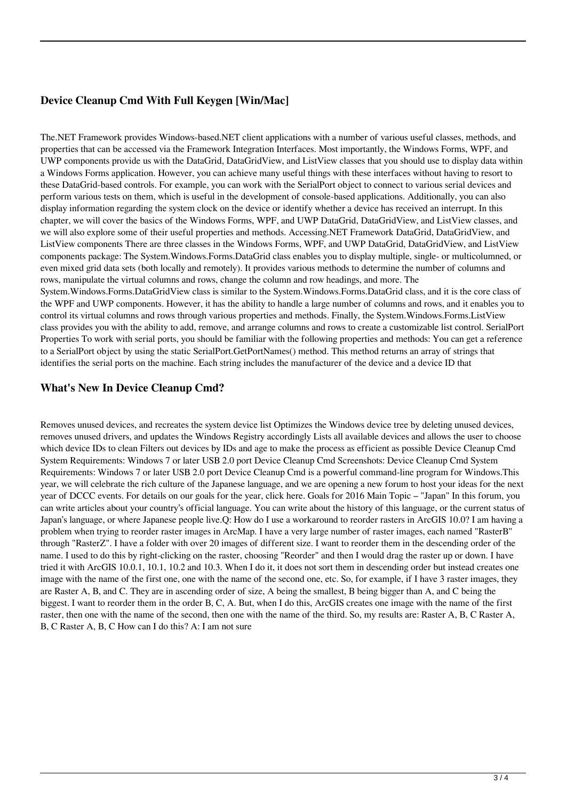### **Device Cleanup Cmd With Full Keygen [Win/Mac]**

The.NET Framework provides Windows-based.NET client applications with a number of various useful classes, methods, and properties that can be accessed via the Framework Integration Interfaces. Most importantly, the Windows Forms, WPF, and UWP components provide us with the DataGrid, DataGridView, and ListView classes that you should use to display data within a Windows Forms application. However, you can achieve many useful things with these interfaces without having to resort to these DataGrid-based controls. For example, you can work with the SerialPort object to connect to various serial devices and perform various tests on them, which is useful in the development of console-based applications. Additionally, you can also display information regarding the system clock on the device or identify whether a device has received an interrupt. In this chapter, we will cover the basics of the Windows Forms, WPF, and UWP DataGrid, DataGridView, and ListView classes, and we will also explore some of their useful properties and methods. Accessing.NET Framework DataGrid, DataGridView, and ListView components There are three classes in the Windows Forms, WPF, and UWP DataGrid, DataGridView, and ListView components package: The System.Windows.Forms.DataGrid class enables you to display multiple, single- or multicolumned, or even mixed grid data sets (both locally and remotely). It provides various methods to determine the number of columns and rows, manipulate the virtual columns and rows, change the column and row headings, and more. The System.Windows.Forms.DataGridView class is similar to the System.Windows.Forms.DataGrid class, and it is the core class of the WPF and UWP components. However, it has the ability to handle a large number of columns and rows, and it enables you to control its virtual columns and rows through various properties and methods. Finally, the System.Windows.Forms.ListView class provides you with the ability to add, remove, and arrange columns and rows to create a customizable list control. SerialPort

Properties To work with serial ports, you should be familiar with the following properties and methods: You can get a reference to a SerialPort object by using the static SerialPort.GetPortNames() method. This method returns an array of strings that identifies the serial ports on the machine. Each string includes the manufacturer of the device and a device ID that

#### **What's New In Device Cleanup Cmd?**

Removes unused devices, and recreates the system device list Optimizes the Windows device tree by deleting unused devices, removes unused drivers, and updates the Windows Registry accordingly Lists all available devices and allows the user to choose which device IDs to clean Filters out devices by IDs and age to make the process as efficient as possible Device Cleanup Cmd System Requirements: Windows 7 or later USB 2.0 port Device Cleanup Cmd Screenshots: Device Cleanup Cmd System Requirements: Windows 7 or later USB 2.0 port Device Cleanup Cmd is a powerful command-line program for Windows.This year, we will celebrate the rich culture of the Japanese language, and we are opening a new forum to host your ideas for the next year of DCCC events. For details on our goals for the year, click here. Goals for 2016 Main Topic – "Japan" In this forum, you can write articles about your country's official language. You can write about the history of this language, or the current status of Japan's language, or where Japanese people live.Q: How do I use a workaround to reorder rasters in ArcGIS 10.0? I am having a problem when trying to reorder raster images in ArcMap. I have a very large number of raster images, each named "RasterB" through "RasterZ". I have a folder with over 20 images of different size. I want to reorder them in the descending order of the name. I used to do this by right-clicking on the raster, choosing "Reorder" and then I would drag the raster up or down. I have tried it with ArcGIS 10.0.1, 10.1, 10.2 and 10.3. When I do it, it does not sort them in descending order but instead creates one image with the name of the first one, one with the name of the second one, etc. So, for example, if I have 3 raster images, they are Raster A, B, and C. They are in ascending order of size, A being the smallest, B being bigger than A, and C being the biggest. I want to reorder them in the order B, C, A. But, when I do this, ArcGIS creates one image with the name of the first raster, then one with the name of the second, then one with the name of the third. So, my results are: Raster A, B, C Raster A, B, C Raster A, B, C How can I do this? A: I am not sure